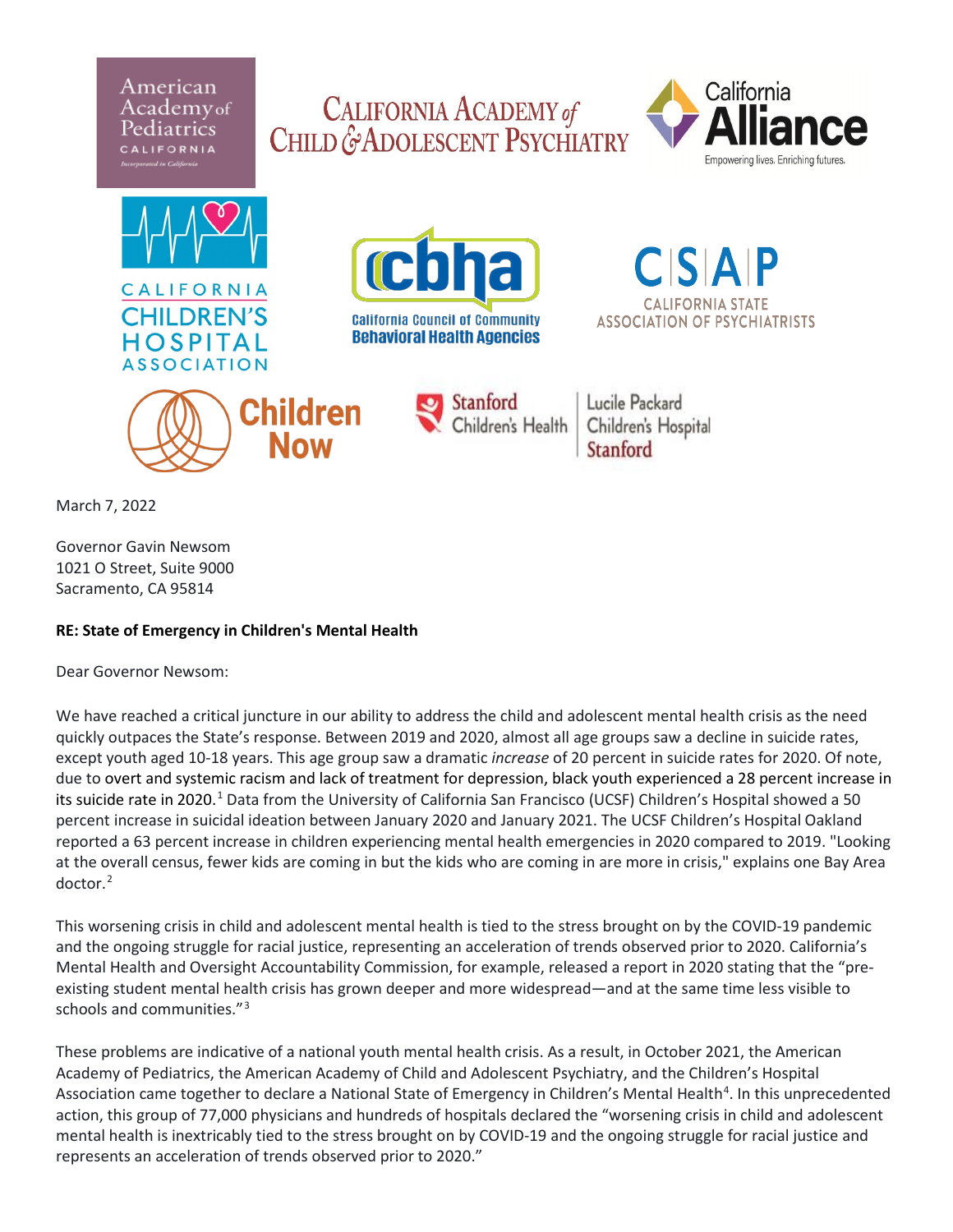American Academyof iatrics









Lucile Packard Children's Hospital Stanford

March 7, 2022

Governor Gavin Newsom 1021 O Street, Suite 9000 Sacramento, CA 95814

## **RE: State of Emergency in Children's Mental Health**

Dear Governor Newsom:

We have reached a critical juncture in our ability to address the child and adolescent mental health crisis as the need quickly outpaces the State's response. Between 2019 and 2020, almost all age groups saw a decline in suicide rates, except youth aged 10-18 years. This age group saw a dramatic *increase* of 20 percent in suicide rates for 2020. Of note, due to overt and systemic racism and lack of treatment for depression, black youth experienced a 28 percent increase in its suicide rate in 2020.<sup>[1](#page-1-0)</sup> Data from the University of California San Francisco (UCSF) Children's Hospital showed a 50 percent increase in suicidal ideation between January 2020 and January 2021. The UCSF Children's Hospital Oakland reported a 63 percent increase in children experiencing mental health emergencies in 2020 compared to 2019. "Looking at the overall census, fewer kids are coming in but the kids who are coming in are more in crisis," explains one Bay Area doctor. [2](#page-1-1)

This worsening crisis in child and adolescent mental health is tied to the stress brought on by the COVID-19 pandemic and the ongoing struggle for racial justice, representing an acceleration of trends observed prior to 2020. California's Mental Health and Oversight Accountability Commission, for example, released a report in 2020 stating that the "preexisting student mental health crisis has grown deeper and more widespread—and at the same time less visible to schools and communities."<sup>[3](#page-1-2)</sup>

These problems are indicative of a national youth mental health crisis. As a result, in October 2021, the American Academy of Pediatrics, the American Academy of Child and Adolescent Psychiatry, and the Children's Hospital Association came together to declare a National State of Emergency in Children's Mental Health<sup>[4](#page-1-3)</sup>. In this unprecedented action, this group of 77,000 physicians and hundreds of hospitals declared the "worsening crisis in child and adolescent mental health is inextricably tied to the stress brought on by COVID-19 and the ongoing struggle for racial justice and represents an acceleration of trends observed prior to 2020."